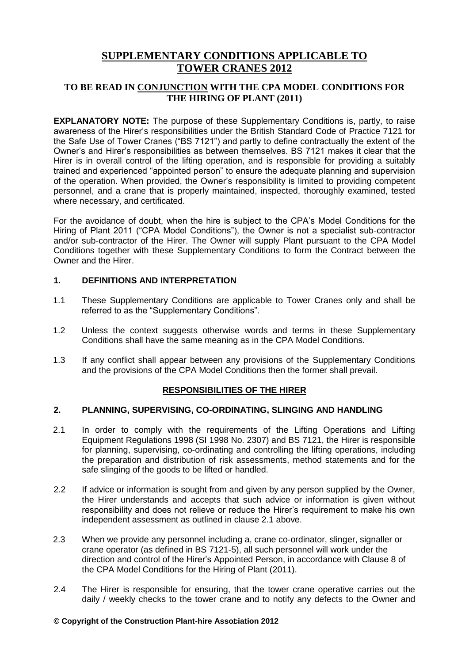# **SUPPLEMENTARY CONDITIONS APPLICABLE TO TOWER CRANES 2012**

# **TO BE READ IN CONJUNCTION WITH THE CPA MODEL CONDITIONS FOR THE HIRING OF PLANT (2011)**

**EXPLANATORY NOTE:** The purpose of these Supplementary Conditions is, partly, to raise awareness of the Hirer's responsibilities under the British Standard Code of Practice 7121 for the Safe Use of Tower Cranes ("BS 7121") and partly to define contractually the extent of the Owner's and Hirer's responsibilities as between themselves. BS 7121 makes it clear that the Hirer is in overall control of the lifting operation, and is responsible for providing a suitably trained and experienced "appointed person" to ensure the adequate planning and supervision of the operation. When provided, the Owner's responsibility is limited to providing competent personnel, and a crane that is properly maintained, inspected, thoroughly examined, tested where necessary, and certificated.

For the avoidance of doubt, when the hire is subject to the CPA's Model Conditions for the Hiring of Plant 2011 ("CPA Model Conditions"), the Owner is not a specialist sub-contractor and/or sub-contractor of the Hirer. The Owner will supply Plant pursuant to the CPA Model Conditions together with these Supplementary Conditions to form the Contract between the Owner and the Hirer.

# **1. DEFINITIONS AND INTERPRETATION**

- 1.1 These Supplementary Conditions are applicable to Tower Cranes only and shall be referred to as the "Supplementary Conditions".
- 1.2 Unless the context suggests otherwise words and terms in these Supplementary Conditions shall have the same meaning as in the CPA Model Conditions.
- 1.3 If any conflict shall appear between any provisions of the Supplementary Conditions and the provisions of the CPA Model Conditions then the former shall prevail.

# **RESPONSIBILITIES OF THE HIRER**

# **2. PLANNING, SUPERVISING, CO-ORDINATING, SLINGING AND HANDLING**

- 2.1 In order to comply with the requirements of the Lifting Operations and Lifting Equipment Regulations 1998 (SI 1998 No. 2307) and BS 7121, the Hirer is responsible for planning, supervising, co-ordinating and controlling the lifting operations, including the preparation and distribution of risk assessments, method statements and for the safe slinging of the goods to be lifted or handled.
- 2.2 If advice or information is sought from and given by any person supplied by the Owner, the Hirer understands and accepts that such advice or information is given without responsibility and does not relieve or reduce the Hirer's requirement to make his own independent assessment as outlined in clause 2.1 above.
- 2.3 When we provide any personnel including a, crane co-ordinator, slinger, signaller or crane operator (as defined in BS 7121-5), all such personnel will work under the direction and control of the Hirer's Appointed Person, in accordance with Clause 8 of the CPA Model Conditions for the Hiring of Plant (2011).
- 2.4 The Hirer is responsible for ensuring, that the tower crane operative carries out the daily / weekly checks to the tower crane and to notify any defects to the Owner and

### **© Copyright of the Construction Plant-hire Association 201** 1 **2**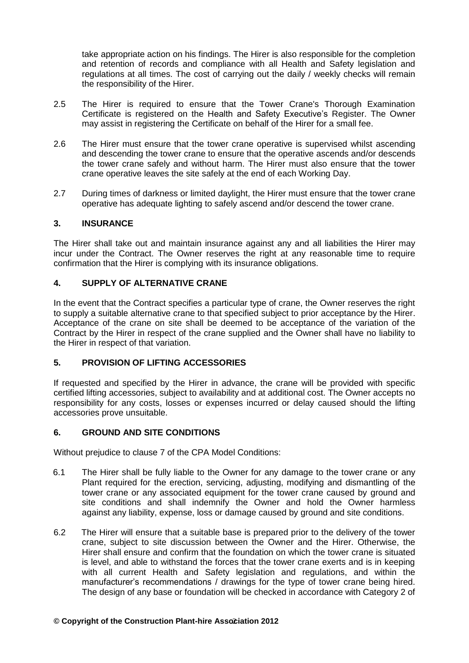take appropriate action on his findings. The Hirer is also responsible for the completion and retention of records and compliance with all Health and Safety legislation and regulations at all times. The cost of carrying out the daily / weekly checks will remain the responsibility of the Hirer.

- 2.5 The Hirer is required to ensure that the Tower Crane's Thorough Examination Certificate is registered on the Health and Safety Executive's Register. The Owner may assist in registering the Certificate on behalf of the Hirer for a small fee.
- 2.6 The Hirer must ensure that the tower crane operative is supervised whilst ascending and descending the tower crane to ensure that the operative ascends and/or descends the tower crane safely and without harm. The Hirer must also ensure that the tower crane operative leaves the site safely at the end of each Working Day.
- 2.7 During times of darkness or limited daylight, the Hirer must ensure that the tower crane operative has adequate lighting to safely ascend and/or descend the tower crane.

# **3. INSURANCE**

The Hirer shall take out and maintain insurance against any and all liabilities the Hirer may incur under the Contract. The Owner reserves the right at any reasonable time to require confirmation that the Hirer is complying with its insurance obligations.

### **4. SUPPLY OF ALTERNATIVE CRANE**

In the event that the Contract specifies a particular type of crane, the Owner reserves the right to supply a suitable alternative crane to that specified subject to prior acceptance by the Hirer. Acceptance of the crane on site shall be deemed to be acceptance of the variation of the Contract by the Hirer in respect of the crane supplied and the Owner shall have no liability to the Hirer in respect of that variation.

### **5. PROVISION OF LIFTING ACCESSORIES**

If requested and specified by the Hirer in advance, the crane will be provided with specific certified lifting accessories, subject to availability and at additional cost. The Owner accepts no responsibility for any costs, losses or expenses incurred or delay caused should the lifting accessories prove unsuitable.

# **6. GROUND AND SITE CONDITIONS**

Without prejudice to clause 7 of the CPA Model Conditions:

- 6.1 The Hirer shall be fully liable to the Owner for any damage to the tower crane or any Plant required for the erection, servicing, adjusting, modifying and dismantling of the tower crane or any associated equipment for the tower crane caused by ground and site conditions and shall indemnify the Owner and hold the Owner harmless against any liability, expense, loss or damage caused by ground and site conditions.
- 6.2 The Hirer will ensure that a suitable base is prepared prior to the delivery of the tower crane, subject to site discussion between the Owner and the Hirer. Otherwise, the Hirer shall ensure and confirm that the foundation on which the tower crane is situated is level, and able to withstand the forces that the tower crane exerts and is in keeping with all current Health and Safety legislation and regulations, and within the manufacturer's recommendations / drawings for the type of tower crane being hired. The design of any base or foundation will be checked in accordance with Category 2 of

#### **© Copyright of the Construction Plant-hire Association 201** 2 **2**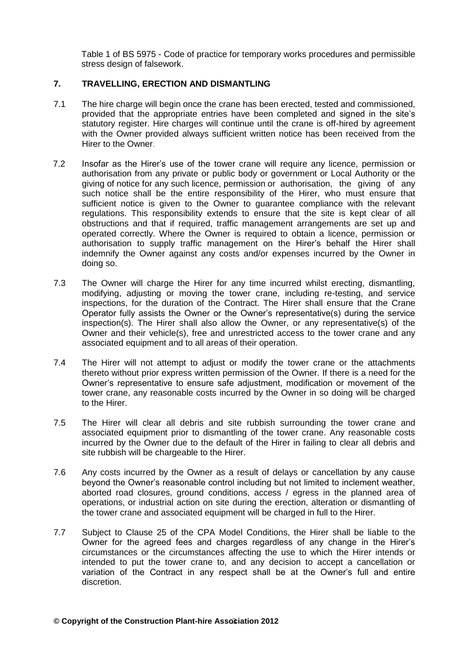Table 1 of BS 5975 - Code of practice for temporary works procedures and permissible stress design of falsework.

# **7. TRAVELLING, ERECTION AND DISMANTLING**

- 7.1 The hire charge will begin once the crane has been erected, tested and commissioned, provided that the appropriate entries have been completed and signed in the site's statutory register. Hire charges will continue until the crane is off-hired by agreement with the Owner provided always sufficient written notice has been received from the Hirer to the Owner.
- 7.2 Insofar as the Hirer's use of the tower crane will require any licence, permission or authorisation from any private or public body or government or Local Authority or the giving of notice for any such licence, permission or authorisation, the giving of any such notice shall be the entire responsibility of the Hirer, who must ensure that sufficient notice is given to the Owner to guarantee compliance with the relevant regulations. This responsibility extends to ensure that the site is kept clear of all obstructions and that if required, traffic management arrangements are set up and operated correctly. Where the Owner is required to obtain a licence, permission or authorisation to supply traffic management on the Hirer's behalf the Hirer shall indemnify the Owner against any costs and/or expenses incurred by the Owner in doing so.
- 7.3 The Owner will charge the Hirer for any time incurred whilst erecting, dismantling, modifying, adjusting or moving the tower crane, including re-testing, and service inspections, for the duration of the Contract. The Hirer shall ensure that the Crane Operator fully assists the Owner or the Owner's representative(s) during the service inspection(s). The Hirer shall also allow the Owner, or any representative(s) of the Owner and their vehicle(s), free and unrestricted access to the tower crane and any associated equipment and to all areas of their operation.
- 7.4 The Hirer will not attempt to adjust or modify the tower crane or the attachments thereto without prior express written permission of the Owner. If there is a need for the Owner's representative to ensure safe adjustment, modification or movement of the tower crane, any reasonable costs incurred by the Owner in so doing will be charged to the Hirer.
- 7.5 The Hirer will clear all debris and site rubbish surrounding the tower crane and associated equipment prior to dismantling of the tower crane. Any reasonable costs incurred by the Owner due to the default of the Hirer in failing to clear all debris and site rubbish will be chargeable to the Hirer.
- 7.6 Any costs incurred by the Owner as a result of delays or cancellation by any cause beyond the Owner's reasonable control including but not limited to inclement weather, aborted road closures, ground conditions, access / egress in the planned area of operations, or industrial action on site during the erection, alteration or dismantling of the tower crane and associated equipment will be charged in full to the Hirer.
- 7.7 Subject to Clause 25 of the CPA Model Conditions, the Hirer shall be liable to the Owner for the agreed fees and charges regardless of any change in the Hirer's circumstances or the circumstances affecting the use to which the Hirer intends or intended to put the tower crane to, and any decision to accept a cancellation or variation of the Contract in any respect shall be at the Owner's full and entire discretion.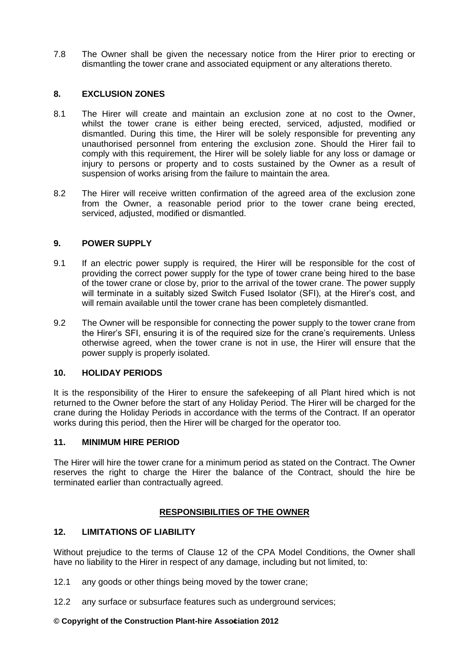7.8 The Owner shall be given the necessary notice from the Hirer prior to erecting or dismantling the tower crane and associated equipment or any alterations thereto.

# **8. EXCLUSION ZONES**

- 8.1 The Hirer will create and maintain an exclusion zone at no cost to the Owner, whilst the tower crane is either being erected, serviced, adjusted, modified or dismantled. During this time, the Hirer will be solely responsible for preventing any unauthorised personnel from entering the exclusion zone. Should the Hirer fail to comply with this requirement, the Hirer will be solely liable for any loss or damage or injury to persons or property and to costs sustained by the Owner as a result of suspension of works arising from the failure to maintain the area.
- 8.2 The Hirer will receive written confirmation of the agreed area of the exclusion zone from the Owner, a reasonable period prior to the tower crane being erected, serviced, adjusted, modified or dismantled.

### **9. POWER SUPPLY**

- 9.1 If an electric power supply is required, the Hirer will be responsible for the cost of providing the correct power supply for the type of tower crane being hired to the base of the tower crane or close by, prior to the arrival of the tower crane. The power supply will terminate in a suitably sized Switch Fused Isolator (SFI), at the Hirer's cost, and will remain available until the tower crane has been completely dismantled.
- 9.2 The Owner will be responsible for connecting the power supply to the tower crane from the Hirer's SFI, ensuring it is of the required size for the crane's requirements. Unless otherwise agreed, when the tower crane is not in use, the Hirer will ensure that the power supply is properly isolated.

### **10. HOLIDAY PERIODS**

It is the responsibility of the Hirer to ensure the safekeeping of all Plant hired which is not returned to the Owner before the start of any Holiday Period. The Hirer will be charged for the crane during the Holiday Periods in accordance with the terms of the Contract. If an operator works during this period, then the Hirer will be charged for the operator too.

### **11. MINIMUM HIRE PERIOD**

The Hirer will hire the tower crane for a minimum period as stated on the Contract. The Owner reserves the right to charge the Hirer the balance of the Contract, should the hire be terminated earlier than contractually agreed.

# **RESPONSIBILITIES OF THE OWNER**

# **12. LIMITATIONS OF LIABILITY**

Without prejudice to the terms of Clause 12 of the CPA Model Conditions, the Owner shall have no liability to the Hirer in respect of any damage, including but not limited, to:

- 12.1 any goods or other things being moved by the tower crane;
- 12.2 any surface or subsurface features such as underground services;

### **© Copyright of the Construction Plant-hire Association 201** 4 **2**